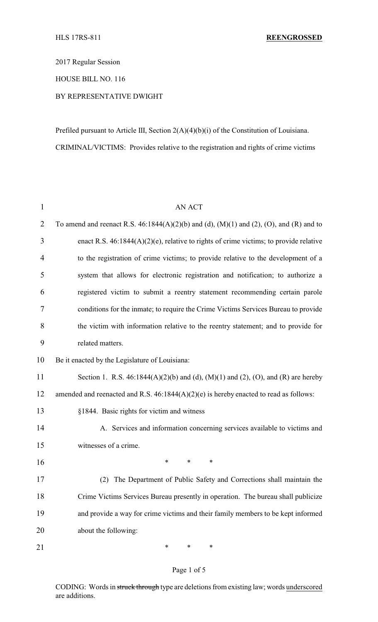2017 Regular Session

HOUSE BILL NO. 116

# BY REPRESENTATIVE DWIGHT

Prefiled pursuant to Article III, Section 2(A)(4)(b)(i) of the Constitution of Louisiana. CRIMINAL/VICTIMS: Provides relative to the registration and rights of crime victims

| $\mathbf{1}$   | <b>AN ACT</b>                                                                               |  |  |  |  |
|----------------|---------------------------------------------------------------------------------------------|--|--|--|--|
| $\overline{2}$ | To amend and reenact R.S. $46:1844(A)(2)(b)$ and (d), $(M)(1)$ and (2), (O), and (R) and to |  |  |  |  |
| 3              | enact R.S. $46:1844(A)(2)(e)$ , relative to rights of crime victims; to provide relative    |  |  |  |  |
| $\overline{4}$ | to the registration of crime victims; to provide relative to the development of a           |  |  |  |  |
| 5              | system that allows for electronic registration and notification; to authorize a             |  |  |  |  |
| 6              | registered victim to submit a reentry statement recommending certain parole                 |  |  |  |  |
| 7              | conditions for the inmate; to require the Crime Victims Services Bureau to provide          |  |  |  |  |
| 8              | the victim with information relative to the reentry statement; and to provide for           |  |  |  |  |
| 9              | related matters.                                                                            |  |  |  |  |
| 10             | Be it enacted by the Legislature of Louisiana:                                              |  |  |  |  |
| 11             | Section 1. R.S. $46:1844(A)(2)(b)$ and (d), (M)(1) and (2), (O), and (R) are hereby         |  |  |  |  |
| 12             | amended and reenacted and R.S. $46:1844(A)(2)(e)$ is hereby enacted to read as follows:     |  |  |  |  |
| 13             | §1844. Basic rights for victim and witness                                                  |  |  |  |  |
| 14             | A. Services and information concerning services available to victims and                    |  |  |  |  |
| 15             | witnesses of a crime.                                                                       |  |  |  |  |
| 16             | $\ast$<br>∗<br>∗                                                                            |  |  |  |  |
| 17             | (2) The Department of Public Safety and Corrections shall maintain the                      |  |  |  |  |
| 18             | Crime Victims Services Bureau presently in operation. The bureau shall publicize            |  |  |  |  |
| 19             | and provide a way for crime victims and their family members to be kept informed            |  |  |  |  |
| 20             | about the following:                                                                        |  |  |  |  |
| 21             | ∗<br>∗<br>∗                                                                                 |  |  |  |  |

### Page 1 of 5

CODING: Words in struck through type are deletions from existing law; words underscored are additions.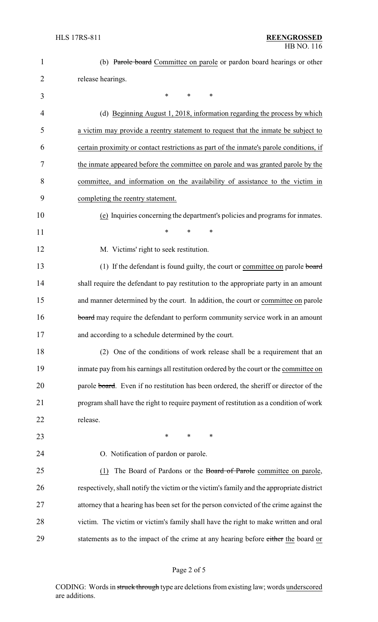| $\mathbf{1}$ | (b) Parole board Committee on parole or pardon board hearings or other                    |
|--------------|-------------------------------------------------------------------------------------------|
| 2            | release hearings.                                                                         |
| 3            | *<br>*<br>∗                                                                               |
| 4            | (d) Beginning August 1, 2018, information regarding the process by which                  |
| 5            | a victim may provide a reentry statement to request that the inmate be subject to         |
| 6            | certain proximity or contact restrictions as part of the inmate's parole conditions, if   |
| 7            | the inmate appeared before the committee on parole and was granted parole by the          |
| 8            | committee, and information on the availability of assistance to the victim in             |
| 9            | completing the reentry statement.                                                         |
| 10           | (e) Inquiries concerning the department's policies and programs for inmates.              |
| 11           | *<br>*<br>*                                                                               |
| 12           | M. Victims' right to seek restitution.                                                    |
| 13           | (1) If the defendant is found guilty, the court or committee on parole board              |
| 14           | shall require the defendant to pay restitution to the appropriate party in an amount      |
| 15           | and manner determined by the court. In addition, the court or committee on parole         |
| 16           | board may require the defendant to perform community service work in an amount            |
| 17           | and according to a schedule determined by the court.                                      |
| 18           | (2) One of the conditions of work release shall be a requirement that an                  |
| 19           | inmate pay from his earnings all restitution ordered by the court or the committee on     |
| 20           | parole board. Even if no restitution has been ordered, the sheriff or director of the     |
| 21           | program shall have the right to require payment of restitution as a condition of work     |
| 22           | release.                                                                                  |
| 23           | $\ast$<br>*<br>∗                                                                          |
| 24           | O. Notification of pardon or parole.                                                      |
| 25           | The Board of Pardons or the Board of Parole committee on parole,<br>(1)                   |
| 26           | respectively, shall notify the victim or the victim's family and the appropriate district |
| 27           | attorney that a hearing has been set for the person convicted of the crime against the    |
| 28           | victim. The victim or victim's family shall have the right to make written and oral       |
| 29           | statements as to the impact of the crime at any hearing before either the board or        |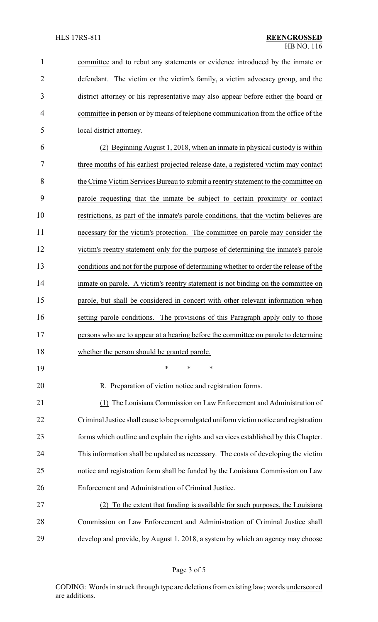| $\mathbf{1}$   | committee and to rebut any statements or evidence introduced by the inmate or         |
|----------------|---------------------------------------------------------------------------------------|
| $\overline{2}$ | defendant. The victim or the victim's family, a victim advocacy group, and the        |
| 3              | district attorney or his representative may also appear before either the board or    |
| $\overline{4}$ | committee in person or by means of telephone communication from the office of the     |
| 5              | local district attorney.                                                              |
| 6              | (2) Beginning August 1, 2018, when an inmate in physical custody is within            |
| 7              | three months of his earliest projected release date, a registered victim may contact  |
| 8              | the Crime Victim Services Bureau to submit a reentry statement to the committee on    |
| 9              | parole requesting that the inmate be subject to certain proximity or contact          |
| 10             | restrictions, as part of the inmate's parole conditions, that the victim believes are |
| 11             | necessary for the victim's protection. The committee on parole may consider the       |
| 12             | victim's reentry statement only for the purpose of determining the inmate's parole    |
| 13             | conditions and not for the purpose of determining whether to order the release of the |
| 14             | inmate on parole. A victim's reentry statement is not binding on the committee on     |
| 15             | parole, but shall be considered in concert with other relevant information when       |
| 16             | setting parole conditions. The provisions of this Paragraph apply only to those       |
| 17             | persons who are to appear at a hearing before the committee on parole to determine    |
| 18             | whether the person should be granted parole.                                          |
| 19             | *<br>∗<br>*                                                                           |
| 20             | R. Preparation of victim notice and registration forms.                               |
| 21             | (1) The Louisiana Commission on Law Enforcement and Administration of                 |
| 22             | Criminal Justice shall cause to be promulgated uniform victim notice and registration |
| 23             | forms which outline and explain the rights and services established by this Chapter.  |
| 24             | This information shall be updated as necessary. The costs of developing the victim    |
| 25             | notice and registration form shall be funded by the Louisiana Commission on Law       |
| 26             | Enforcement and Administration of Criminal Justice.                                   |
| 27             | To the extent that funding is available for such purposes, the Louisiana              |
| 28             | Commission on Law Enforcement and Administration of Criminal Justice shall            |
| 29             | develop and provide, by August 1, 2018, a system by which an agency may choose        |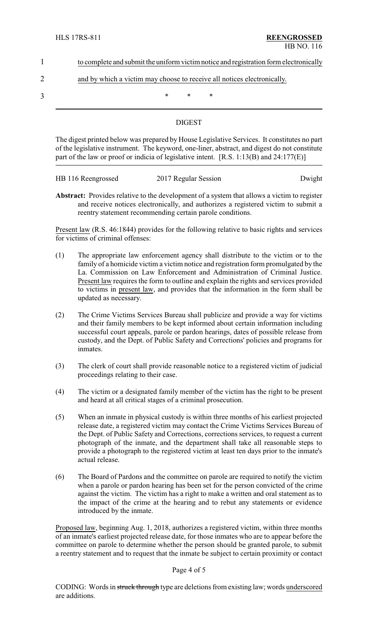| to complete and submit the uniform victim notice and registration form electronically |  |  |  |
|---------------------------------------------------------------------------------------|--|--|--|
|                                                                                       |  |  |  |
| and by which a victim may choose to receive all notices electronically.               |  |  |  |

 $3$  \* \* \*

# **DIGEST**

The digest printed below was prepared by House Legislative Services. It constitutes no part of the legislative instrument. The keyword, one-liner, abstract, and digest do not constitute part of the law or proof or indicia of legislative intent. [R.S. 1:13(B) and 24:177(E)]

| HB 116 Reengrossed | 2017 Regular Session | Dwight |
|--------------------|----------------------|--------|

**Abstract:** Provides relative to the development of a system that allows a victim to register and receive notices electronically, and authorizes a registered victim to submit a reentry statement recommending certain parole conditions.

Present law (R.S. 46:1844) provides for the following relative to basic rights and services for victims of criminal offenses:

- (1) The appropriate law enforcement agency shall distribute to the victim or to the family of a homicide victim a victim notice and registration form promulgated by the La. Commission on Law Enforcement and Administration of Criminal Justice. Present law requires the form to outline and explain the rights and services provided to victims in present law, and provides that the information in the form shall be updated as necessary.
- (2) The Crime Victims Services Bureau shall publicize and provide a way for victims and their family members to be kept informed about certain information including successful court appeals, parole or pardon hearings, dates of possible release from custody, and the Dept. of Public Safety and Corrections' policies and programs for inmates.
- (3) The clerk of court shall provide reasonable notice to a registered victim of judicial proceedings relating to their case.
- (4) The victim or a designated family member of the victim has the right to be present and heard at all critical stages of a criminal prosecution.
- (5) When an inmate in physical custody is within three months of his earliest projected release date, a registered victim may contact the Crime Victims Services Bureau of the Dept. of Public Safety and Corrections, corrections services, to request a current photograph of the inmate, and the department shall take all reasonable steps to provide a photograph to the registered victim at least ten days prior to the inmate's actual release.
- (6) The Board of Pardons and the committee on parole are required to notify the victim when a parole or pardon hearing has been set for the person convicted of the crime against the victim. The victim has a right to make a written and oral statement as to the impact of the crime at the hearing and to rebut any statements or evidence introduced by the inmate.

Proposed law, beginning Aug. 1, 2018, authorizes a registered victim, within three months of an inmate's earliest projected release date, for those inmates who are to appear before the committee on parole to determine whether the person should be granted parole, to submit a reentry statement and to request that the inmate be subject to certain proximity or contact

#### Page 4 of 5